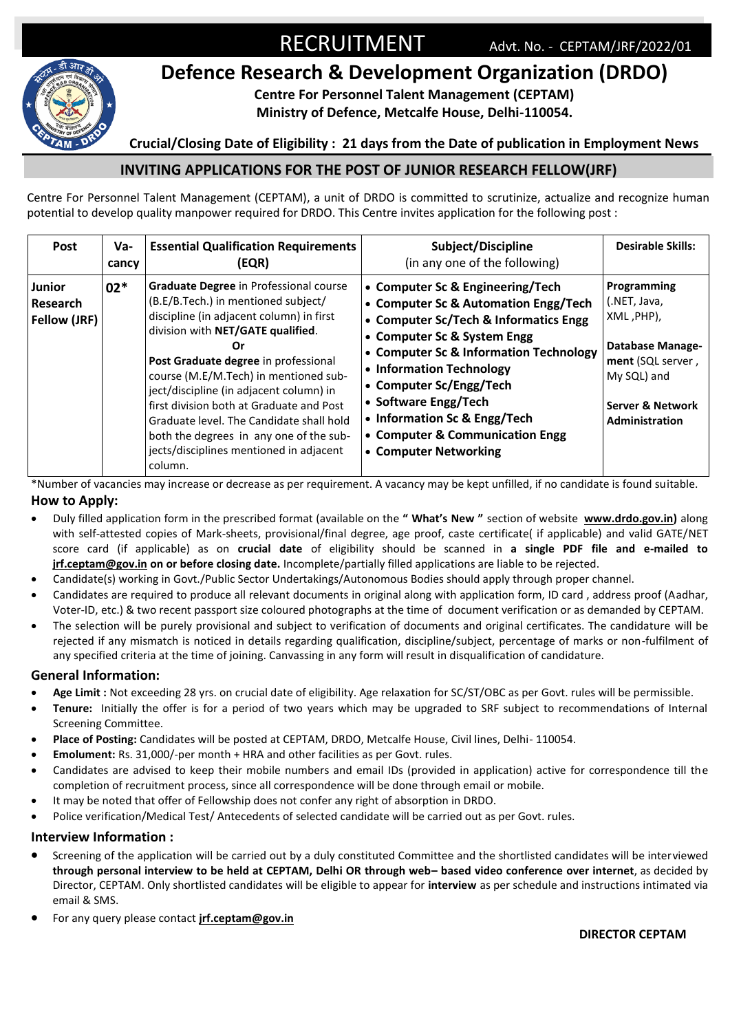

# **Defence Research & Development Organization (DRDO)**

**Centre For Personnel Talent Management (CEPTAM)**

**Ministry of Defence, Metcalfe House, Delhi-110054.**

### **Crucial/Closing Date of Eligibility : 21 days from the Date of publication in Employment News**

## **INVITING APPLICATIONS FOR THE POST OF JUNIOR RESEARCH FELLOW(JRF)**

Centre For Personnel Talent Management (CEPTAM), a unit of DRDO is committed to scrutinize, actualize and recognize human potential to develop quality manpower required for DRDO. This Centre invites application for the following post :

| <b>Post</b>                               | Va-<br>cancy | <b>Essential Qualification Requirements</b><br>(EQR)                                                                                                                                                                                                                                                                                                                                                                                                                                      | Subject/Discipline<br>(in any one of the following)                                                                                                                                                                                                                                                                                                                   | <b>Desirable Skills:</b>                                                                                                                                  |
|-------------------------------------------|--------------|-------------------------------------------------------------------------------------------------------------------------------------------------------------------------------------------------------------------------------------------------------------------------------------------------------------------------------------------------------------------------------------------------------------------------------------------------------------------------------------------|-----------------------------------------------------------------------------------------------------------------------------------------------------------------------------------------------------------------------------------------------------------------------------------------------------------------------------------------------------------------------|-----------------------------------------------------------------------------------------------------------------------------------------------------------|
| <b>Junior</b><br>Research<br>Fellow (JRF) | $02*$        | Graduate Degree in Professional course<br>(B.E/B.Tech.) in mentioned subject/<br>discipline (in adjacent column) in first<br>division with NET/GATE qualified.<br>Or<br>Post Graduate degree in professional<br>course (M.E/M.Tech) in mentioned sub-<br>ject/discipline (in adjacent column) in<br>first division both at Graduate and Post<br>Graduate level. The Candidate shall hold<br>both the degrees in any one of the sub-<br>jects/disciplines mentioned in adjacent<br>column. | • Computer Sc & Engineering/Tech<br>• Computer Sc & Automation Engg/Tech<br>• Computer Sc/Tech & Informatics Engg<br>• Computer Sc & System Engg<br>• Computer Sc & Information Technology<br>• Information Technology<br>• Computer Sc/Engg/Tech<br>• Software Engg/Tech<br>• Information Sc & Engg/Tech<br>• Computer & Communication Engg<br>• Computer Networking | Programming<br>(.NET, Java,<br>XML, PHP),<br><b>Database Manage-</b><br>ment (SQL server,<br>My SQL) and<br><b>Server &amp; Network</b><br>Administration |

\*Number of vacancies may increase or decrease as per requirement. A vacancy may be kept unfilled, if no candidate is found suitable. **How to Apply:** 

- Duly filled application form in the prescribed format (available on the **" What's New "** section of website **www.drdo.gov.in)** along with self-attested copies of Mark-sheets, provisional/final degree, age proof, caste certificate( if applicable) and valid GATE/NET score card (if applicable) as on **crucial date** of eligibility should be scanned in **a single PDF file and e-mailed to jrf.ceptam@gov.in on or before closing date.** Incomplete/partially filled applications are liable to be rejected.
- Candidate(s) working in Govt./Public Sector Undertakings/Autonomous Bodies should apply through proper channel.
- Candidates are required to produce all relevant documents in original along with application form, ID card , address proof (Aadhar, Voter-ID, etc.) & two recent passport size coloured photographs at the time of document verification or as demanded by CEPTAM.
- The selection will be purely provisional and subject to verification of documents and original certificates. The candidature will be rejected if any mismatch is noticed in details regarding qualification, discipline/subject, percentage of marks or non-fulfilment of any specified criteria at the time of joining. Canvassing in any form will result in disqualification of candidature.

#### **General Information:**

- **Age Limit :** Not exceeding 28 yrs. on crucial date of eligibility. Age relaxation for SC/ST/OBC as per Govt. rules will be permissible.
- **Tenure:** Initially the offer is for a period of two years which may be upgraded to SRF subject to recommendations of Internal Screening Committee.
- **Place of Posting:** Candidates will be posted at CEPTAM, DRDO, Metcalfe House, Civil lines, Delhi- 110054.
- **Emolument:** Rs. 31,000/-per month + HRA and other facilities as per Govt. rules.
- Candidates are advised to keep their mobile numbers and email IDs (provided in application) active for correspondence till the completion of recruitment process, since all correspondence will be done through email or mobile.
- It may be noted that offer of Fellowship does not confer any right of absorption in DRDO.
- Police verification/Medical Test/ Antecedents of selected candidate will be carried out as per Govt. rules.

#### **Interview Information :**

- Screening of the application will be carried out by a duly constituted Committee and the shortlisted candidates will be interviewed **through personal interview to be held at CEPTAM, Delhi OR through web– based video conference over internet**, as decided by Director, CEPTAM. Only shortlisted candidates will be eligible to appear for **interview** as per schedule and instructions intimated via email & SMS.
- For any query please contact **jrf.ceptam@gov.in**